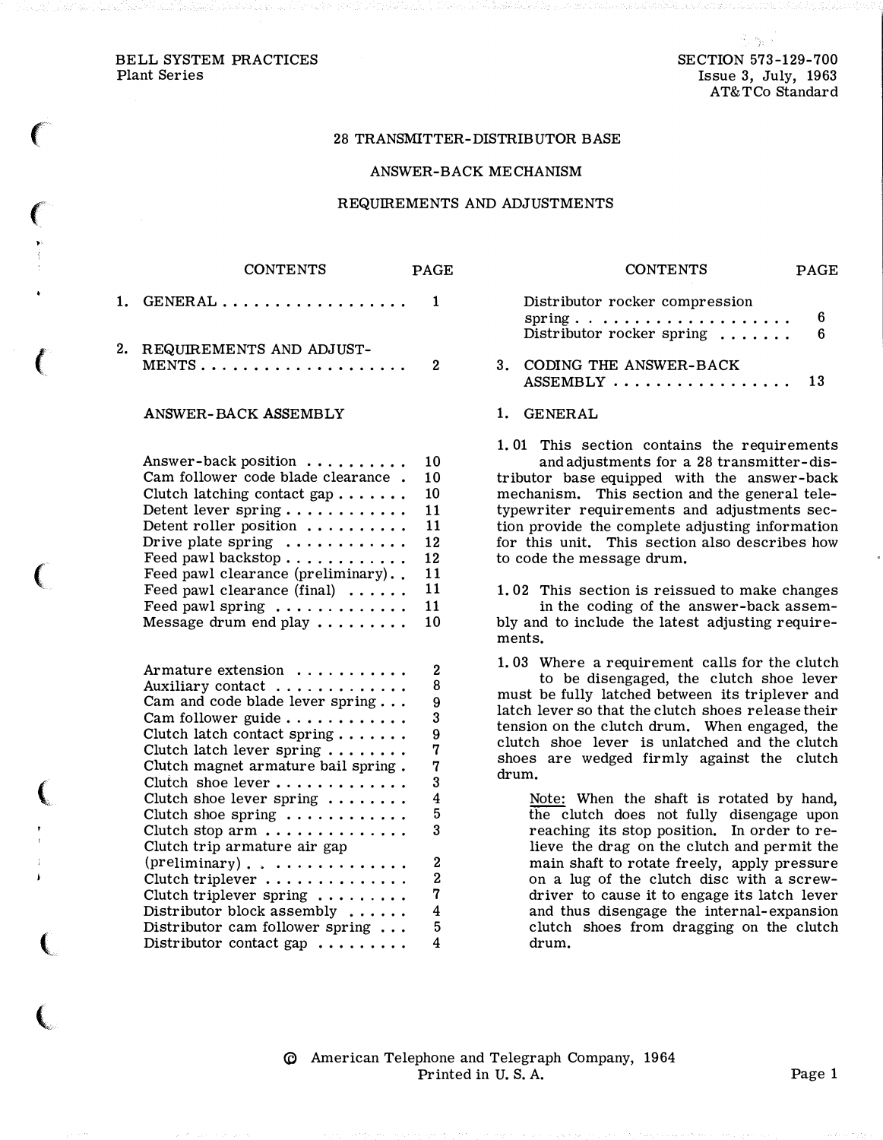### BELL SYSTEM PRACTICES SECTION 573-129-700 Plant Series **Issue 3, July, 1963**

 $\epsilon$ 

 $\left($ 

(

(

 $\big($ 

(

## 28 TRANSMITTER-DISTRIBUTOR BASE

### ANSWER-BACK MECHANISM

#### REQUIREMENTS AND ADJUSTMENTS

| 1. | $\texttt{GENERAL} \dots$                                                                                                                                                                                                                                                                                                                                                | 1                                                              |
|----|-------------------------------------------------------------------------------------------------------------------------------------------------------------------------------------------------------------------------------------------------------------------------------------------------------------------------------------------------------------------------|----------------------------------------------------------------|
| 2. | REQUIREMENTS AND ADJUST-<br>$MENTS \ldots$ .                                                                                                                                                                                                                                                                                                                            | 2                                                              |
|    | <b>ANSWER-BACK ASSEMBLY</b>                                                                                                                                                                                                                                                                                                                                             |                                                                |
|    | Answer-back position<br>Cam follower code blade clearance.<br>Clutch latching contact gap<br>Detent lever spring<br>Detent roller position<br>Drive plate spring $\dots \dots \dots$<br>Feed pawl backstop<br>Feed pawl clearance (preliminary)<br>Feed pawl clearance (final)<br>Feed pawl spring<br>Message drum end play $\dots\dots\dots$                           | 10<br>10<br>10<br>11<br>11<br>12<br>12<br>11<br>11<br>11<br>10 |
|    | Armature extension<br>Auxiliary contact<br>Cam and code blade lever spring<br>Cam follower guide<br>Clutch latch contact spring $\ldots \ldots$<br>Clutch latch lever spring<br>Clutch magnet armature bail spring.<br>Clutch shoe lever<br>Clutch shoe lever spring<br>Clutch shoe spring<br>Clutch stop arm $\dots \dots \dots \dots$<br>Clutch trip armature air gap | $\mathbf 2$<br>8<br>9<br>3<br>9<br>7<br>7<br>3<br>4<br>5<br>3  |
|    | $(\text{preliminary}) \ldots \ldots \ldots \ldots$                                                                                                                                                                                                                                                                                                                      | $\overline{2}$                                                 |

Clutch triplever . . . . . . . . . . . . . 2 Clutch triplever spring . . . . . . . . . 7 Distributor block assembly ...... 4 Distributor cam follower spring ... 5 Distributor contact gap  $\dots \dots$  4

CONTENTS PAGE

| CONTENTS                                                                              | PAC <sub>2</sub> E |
|---------------------------------------------------------------------------------------|--------------------|
| Distributor rocker compression<br>$spring$<br>Distributor rocker spring $\dots \dots$ | 6<br>-6            |
| 3. CODING THE ANSWER-BACK                                                             | 13                 |

. . . . . . . . . . .

## 1. GENERAL

1. 01 This section contains the requirements and adjustments for a 28 transmitter-distributor base equipped with the answer-back mechanism. This section and the general teletypewriter requirements and adjustments section provide the complete adjusting information for this unit. This section also describes how to code the message drum.

1. 02 This section is reissued to make changes in the coding of the answer-back assembly and to include the latest adjusting requirements.

1. 03 Where a requirement calls for the clutch to be disengaged, the clutch shoe lever must be fully latched between its triplever and latch lever so that the clutch shoes release their tension on the clutch drum. When engaged, the clutch shoe lever is unlatched and the clutch shoes are wedged firmly against the clutch drum.

Note: When the shaft is rotated by hand, the clutch does not fully disengage upon reaching its stop position. In order to relieve the drag on the clutch and permit the main shaft to rotate freely, apply pressure on a lug of the clutch disc with a screwdriver to cause it to engage its latch lever and thus disengage the internal-expansion clutch shoes from dragging on the clutch drum.

� American Telephone and Telegraph Company, 1964 Printed in U.S.A. Page 1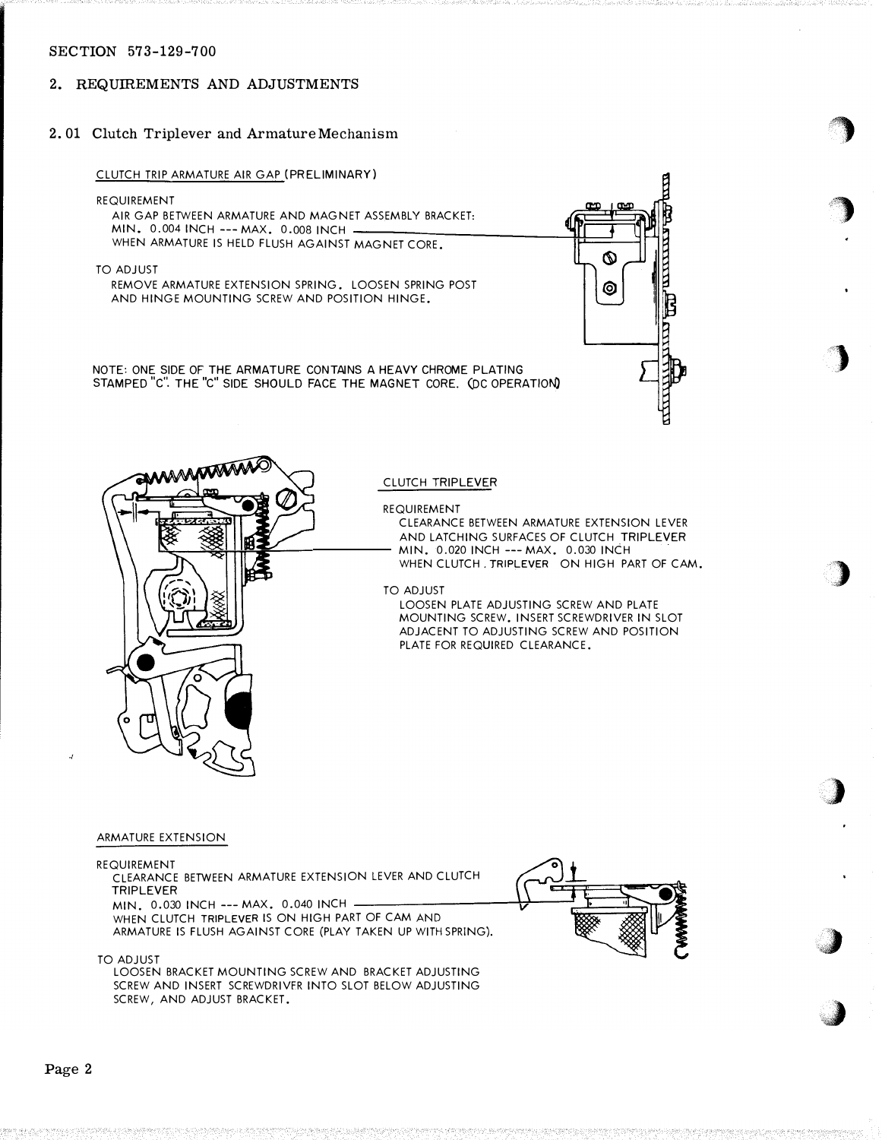# 2. REQUIREMENTS AND ADJUSTMENTS

# 2. 01 Clutch Triplever and Armature Mechanism

### CLUTCH TRIP ARMATURE AIR GAP (PRELIMINARY)

REQUIREMENT

AIR GAP BETWEEN ARMATURE AND MAGNET ASSEMBLY BRACKET: MIN. 0.004 INCH--- MAX. 0.008 INCH WHEN ARMATURE IS HELD FLUSH AGAINST MAGNET CORE.

TO ADJUST

REMOVE ARMATURE EXTENSION SPRING. LOOSEN SPRING POST AND HINGE MOUNTING SCREW AND POSITION HINGE.

NOTE: ONE SIDE OF THE ARMATURE CONTAINS A HE AVY CHROME PLATING STA MPED "c". THE "c" SIDE SHOULD FACE THE MAGNET CORE. (DC OPERATION)



·�

**)** 

)

)

.)

<u>»</u> ,,�

,,j



## CLUTCH TRIPLEVER

REQUIREMENT

CLEARANCE BETWEEN ARMATURE EXTENSION LEVER AND LATCHING SURFACES OF CLUTCH TRIPLEVER MIN. 0.020 INCH--- MAX. 0.030 INCH WHEN CLUTCH, TRIPLEVER ON HIGH PART OF CAM.

TO ADJUST

LOOSEN PLATE ADJUSTING SCREW AND PLATE MOUNTING SCREW. INSERT SCREWDRIVER IN SLOT ADJACENT TO ADJUSTING SCREW AND POSITION PLATE FOR REQUIRED CLEARANCE.

#### ARMATURE EXTENSION

#### REQUIREMENT

CLEARANCE BETWEEN ARMATURE EXTENSION LEVER AND CLUTCH TRIPLEVER

MIN. 0.030 INCH --- MAX. 0.040 INCH WHEN CLUTCH TRIPLEVER IS ON HIGH PART OF CAM AND ARMATURE IS FLUSH AGAINST CORE (PLAY TAKEN UP WITH SPRING).



TO ADJUST

LOOSEN BRACKET MOUNTING SCREW AND BRACKET ADJUSTING SCREW AND INSERT SCREWDRIVER INTO SLOT BELOW ADJUSTING SCREW, AND ADJUST BRACKET.

./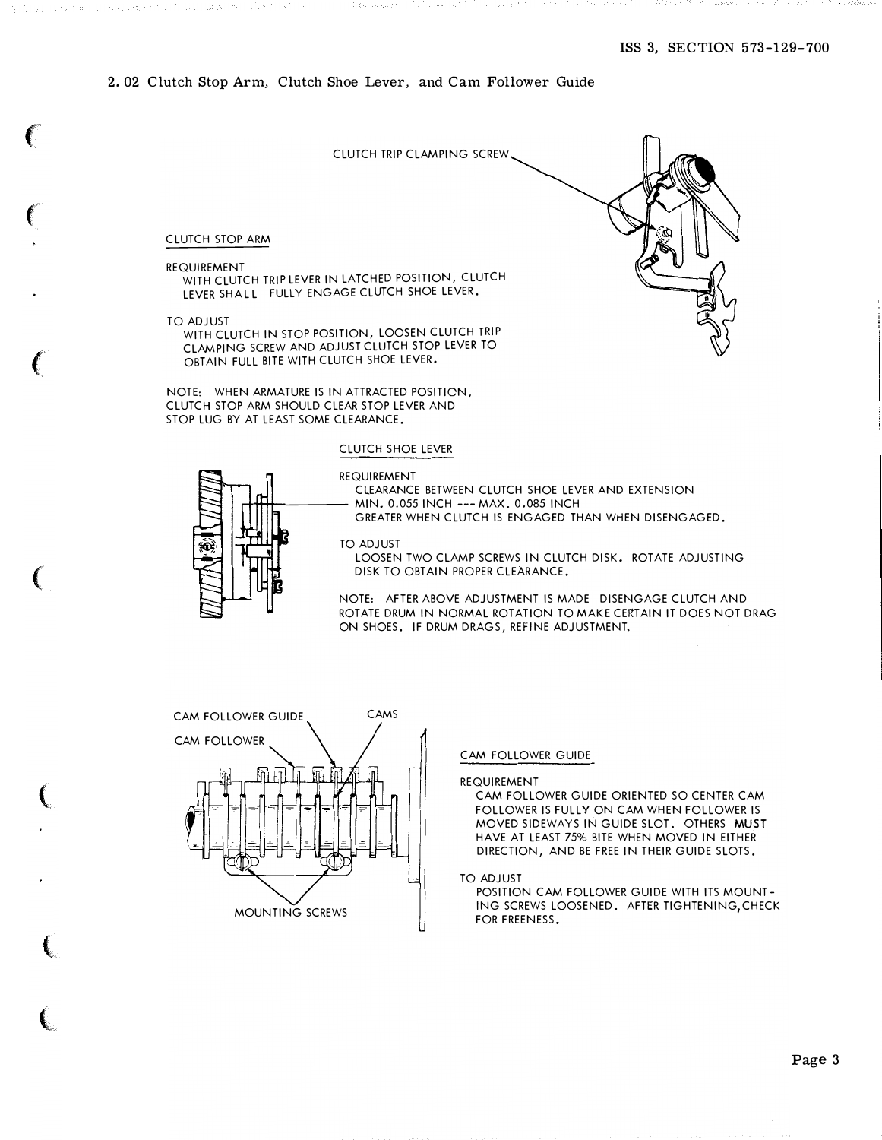## 2. 02 Clutch Stop Arm, Clutch Shoe Lever, and Cam Follower Guide

CLUTCH TRIP CLAMPING SCREW

#### CLUTCH STOP ARM

#### REQUIREMENT

for the property of the property of

ko korpozati mana za navna korpoz

WITH CLUTCH TRIP LEVER IN LATCHED POSITION, CLUTCH LEVER SHALL FULLY ENGAGE CLUTCH SHOE LEVER.

TO ADJUST

WITH CLUTCH IN STOP POSITION, LOOSEN CLUTCH TRIP CLAMPING SCREW AND ADJUST CLUTCH STOP LEVER TO OBTAIN FULL BITE WITH CLUTCH SHOE LEVER.

NOTE: WHEN ARMATURE IS IN ATTRACTED POSITION, CLUTCH STOP ARM SHOULD CLEAR STOP LEVER AND STOP LUG BY AT LEAST SOME CLEARANCE.

# CLUTCH SHOE LEVER



### REQUIREMENT CLEARANCE BETWEEN CLUTCH SHOE LEVER AND EXTENSION MIN. 0.055 INCH ---MAX. 0.085 INCH

GREATER WHEN CLUTCH IS ENGAGED THAN WHEN DISENGAGED.

TO ADJUST

LOOSEN TWO CLAMP SCREWS IN CLUTCH DISK. ROTATE ADJUSTING DISK TO OBTAIN PROPER CLEARANCE.

NOTE: AFTER ABOVE ADJUSTMENT IS MADE DISENGAGE CLUTCH AND ROTATE DRUM IN NORMAL ROTATION TO MAKE CERTAIN IT DOES NOT DRAG ON SHOES. IF DRUM DRAGS, REfiNE ADJUSTMENT.



#### CAM FOLLOWER GUIDE

REQUIREMENT

CAM FOLLOWER GUIDE ORIENTED SO CENTER CAM FOLLOWER IS FULLY ON CAM WHEN FOLLOWER IS MOVED SIDEWAYS IN GUIDE SLOT. OTHERS MUST HAVE AT LEAST 75% BITE WHEN MOVED IN EITHER DIRECTION, AND BE FREE IN THEIR GUIDE SLOTS.

TO ADJUST

POSITION CAM FOLLOWER GUIDE WITH ITS MOUNTlNG SCREWS LOOSENED. AFTER TIGHTENING,CHECK FOR FREENESS.

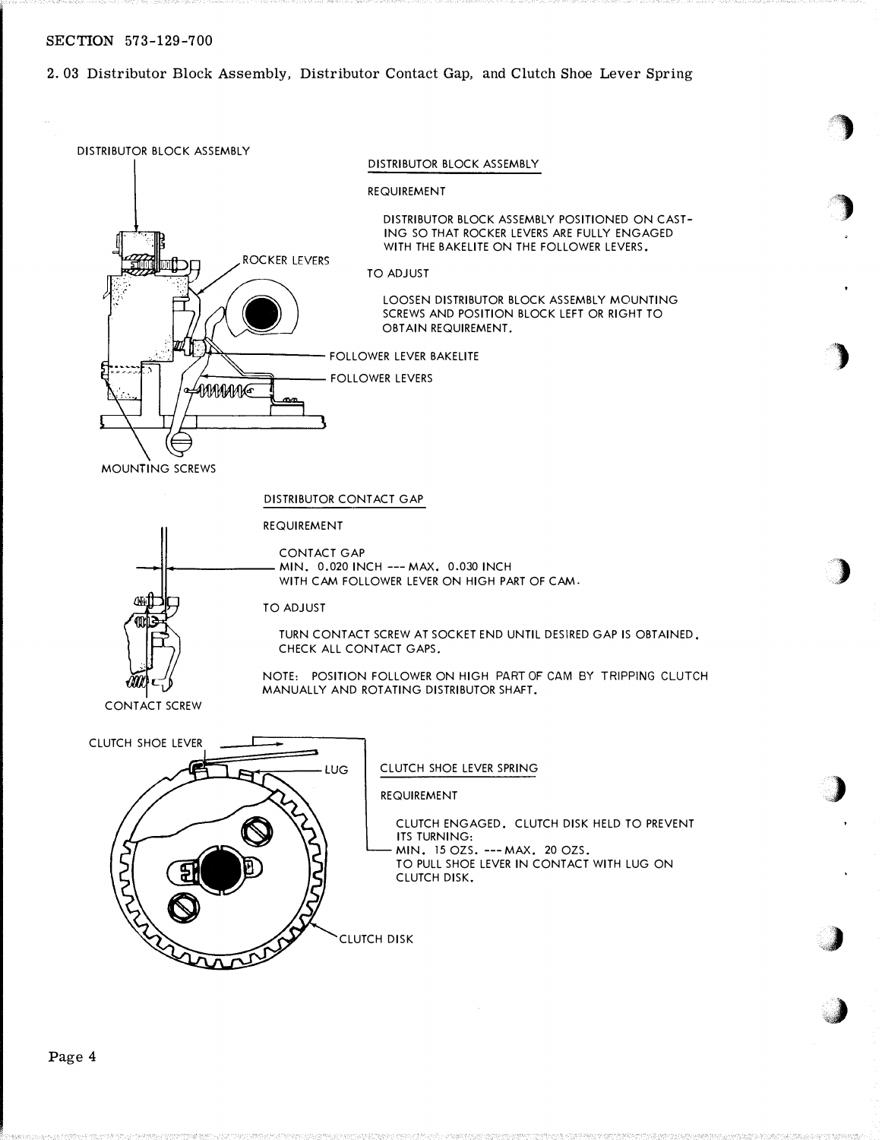2. 03 Distributor Block Assembly, Distributor Contact Gap, and Clutch Shoe Lever Spring

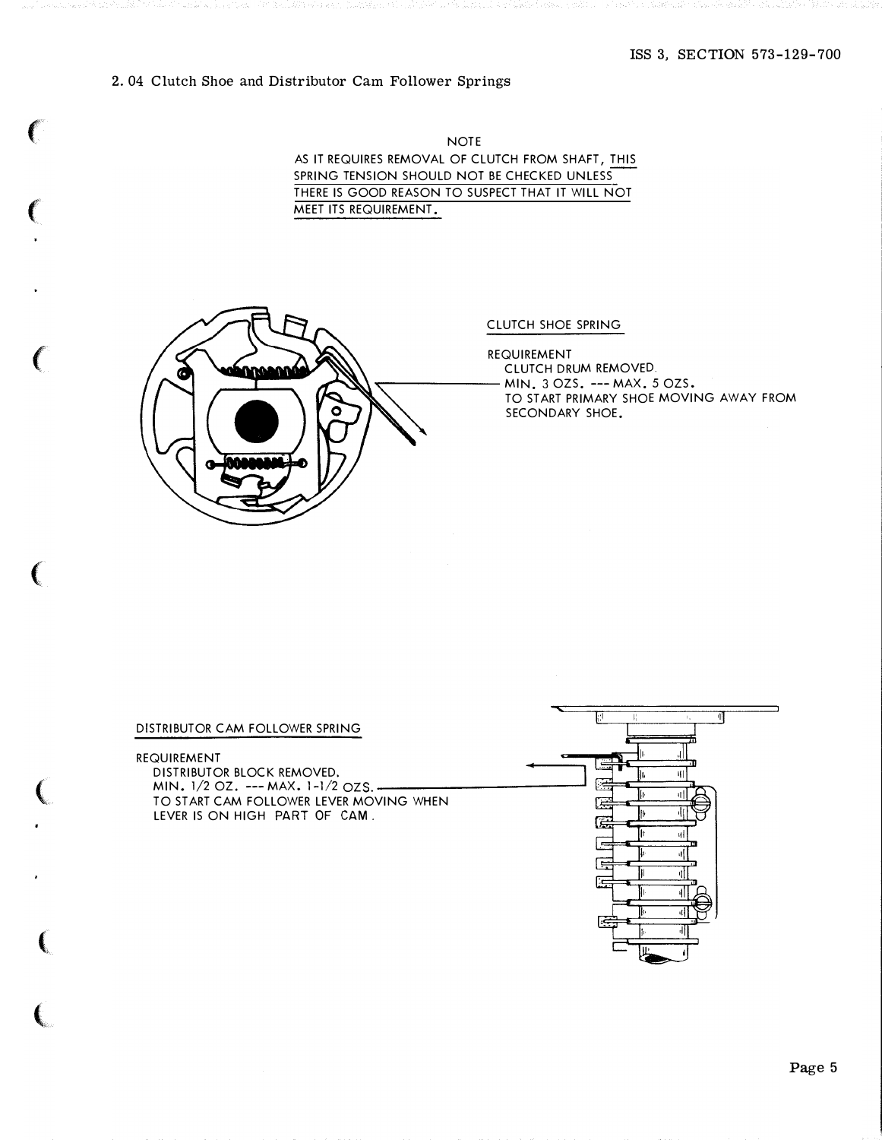# ISS 3, SECTION 573-129-700

# 2. 04 Clutch Shoe and Distributor Cam Follower Springs

NOTE AS IT REQUIRES REMOVAL OF CLUTCH FROM SHAFT, THIS SPRING TENSION SHOULD NOT BE CHECKED UNLESS THERE IS GOOD REASON TO SUSPECT THAT IT WILL NOT MEET ITS REQUIREMENT.



## CLUTCH SHOE SPRING

REQUIREMENT CLUTCH DRUM REMOVED MIN. 3 OZS. --- MAX. 5 OZS.<br>TO START PRIMARY SHOE MOVIE<br>SECONDARY SHOE. TO START PRIMARY SHOE MOVING AWAY FROM SECONDARY SHOE.

#### DISTRIBUTOR CAM FOLLOWER SPRING

REQUIREMENT

 $\epsilon$ 

 $\left($ 

 $\big($ 

 $\left($ 

(

 $\big($ 

 $\boldsymbol{\epsilon}$ 

DISTRIBUTOR BLOCK REMOVED. MIN. 1/2 OZ. --- MAX. 1-1/2 OZS.-TO START CAM FOLLOWER LEVER MOVING WHEN LEVER IS ON HIGH PART OF CAM,

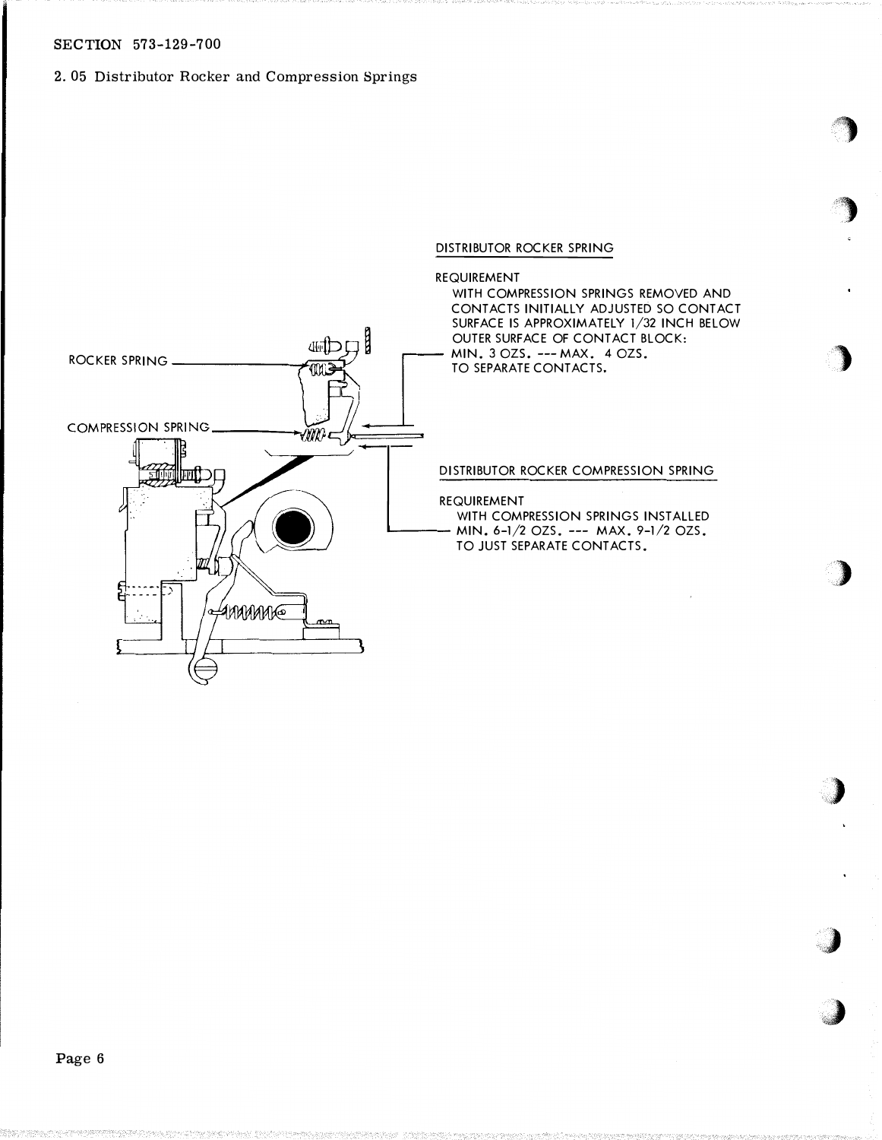# 2. 05 Distributor Rocker and Compression Springs

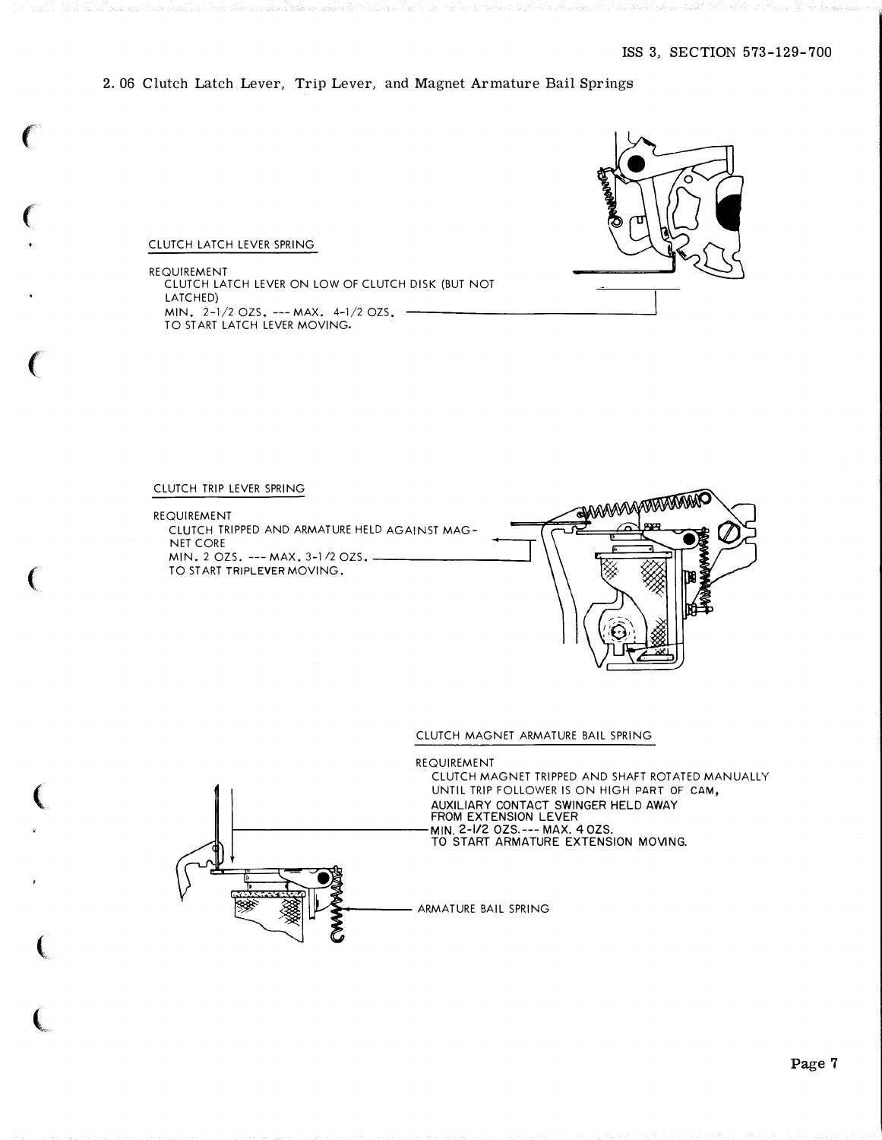2. 06 Clutch Latch Lever, Trip Lever, and Magnet Armature Bail Springs



# CLUTCH LATCH LEVER SPRING

trust specifically research

 $\epsilon$ 

 $\big($ 

 $\left(\begin{array}{c} 0 \\ 0 \end{array}\right)$ 

(

 $\big($ 

(

(

REQUIREMENT CLUTCH LATCH LEVER ON LOW OF CLUTCH DISK (BUT NOT LATCHED) MIN. 2-1/2 OZS. ---MAX. 4-1/2 OZS. TO START LATCH LEVER MOVING.



REQUIREMENT CLUTCH TRIPPED AND ARMATURE HELD AGAINST MAG-NET CORE MIN. 2 OZS. --- MAX. 3-1/2 OZS. TO START TRIPLEVER MOVING.



#### CLUTCH MAGNET ARMATURE BAIL SPRING

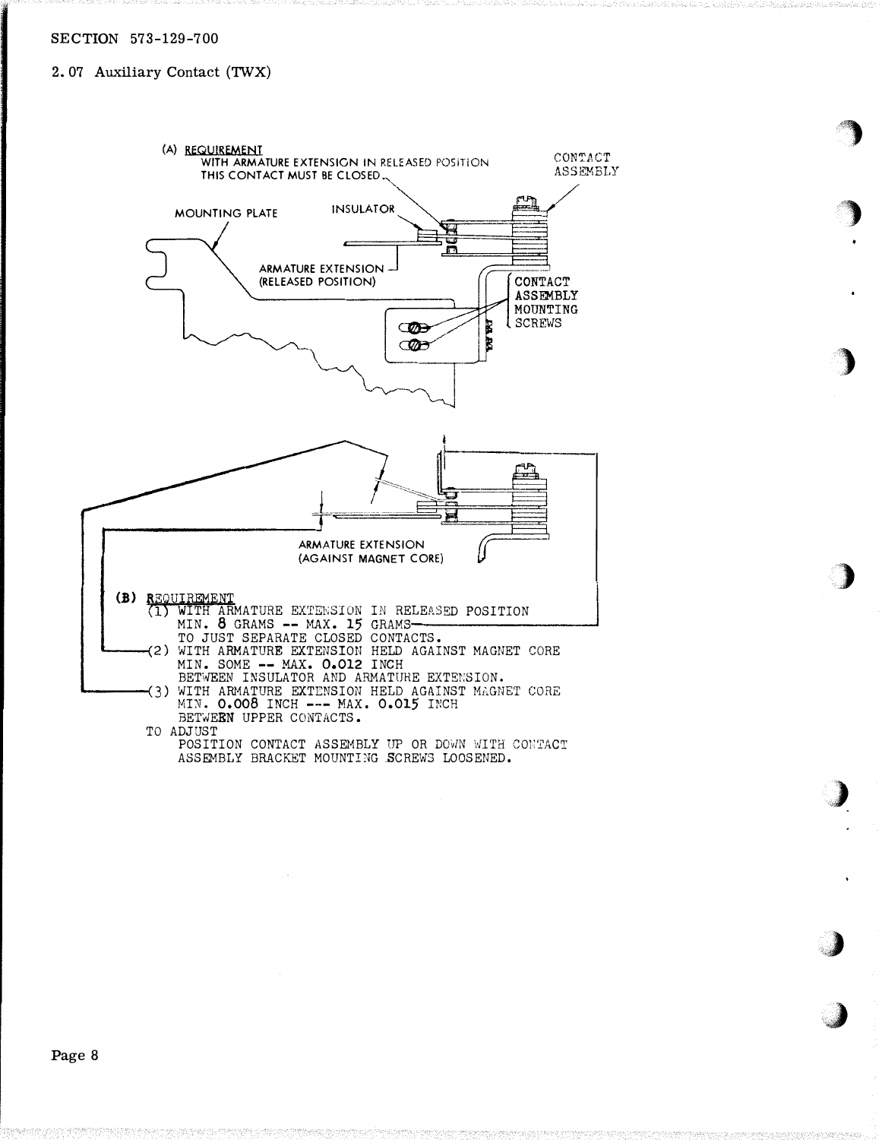# 2.07 Auxiliary Contact (TWX)



�>

 $\sim$ 

. .}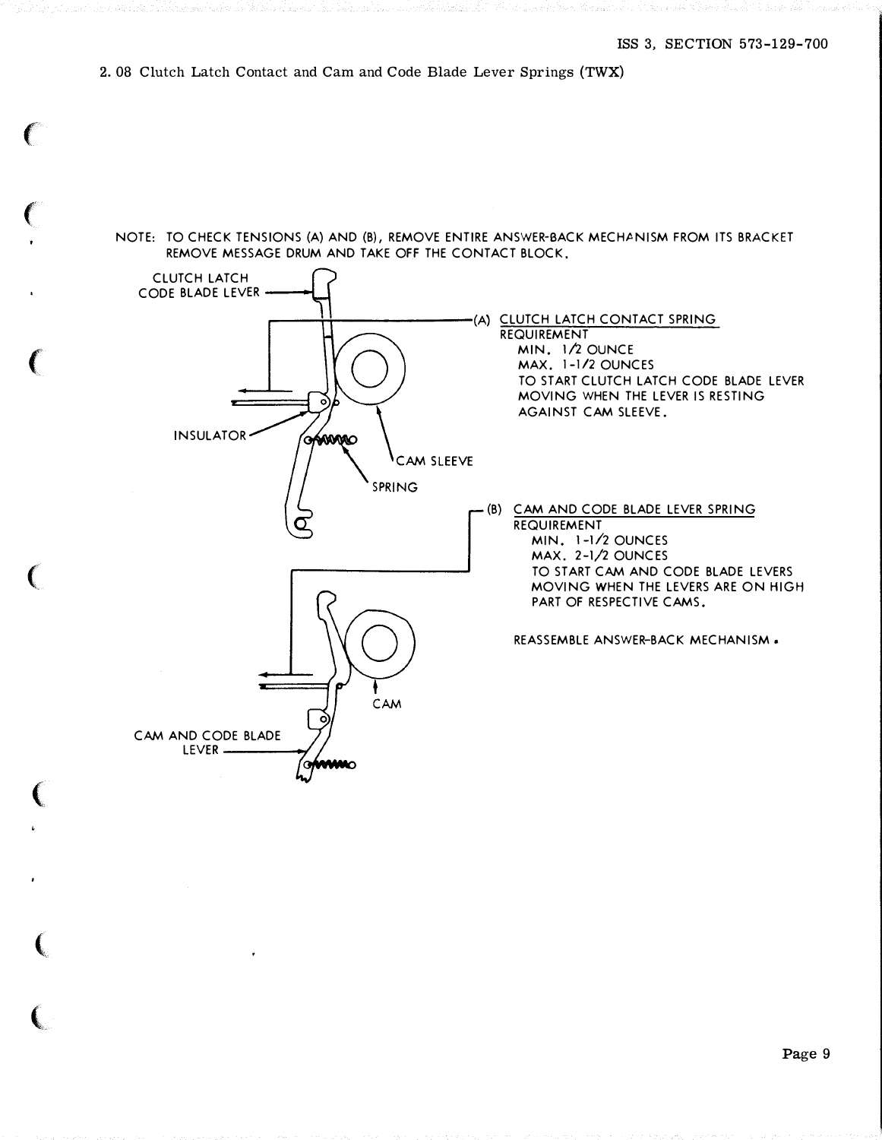# 2. 08 Clutch Latch Contact and Cam and Code Blade Lever Springs (TWX)

 $\epsilon$ 

 $\epsilon$ 

(

 $\big($ 

(

 $\left($ 

 $\big($ 

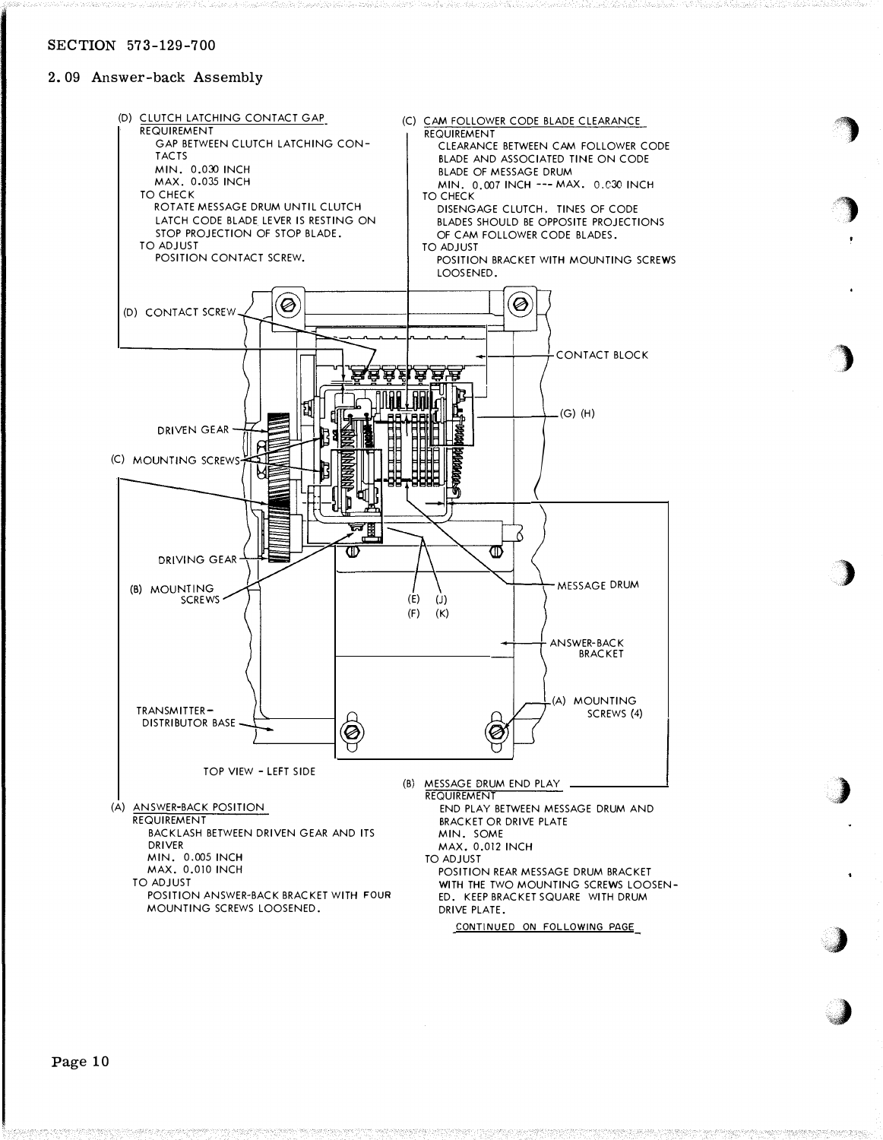# 2. 09 Answer-back Assembly



 $\bigcirc$ 

**designation** 

)

)

)

.,)

 $\cdot$  .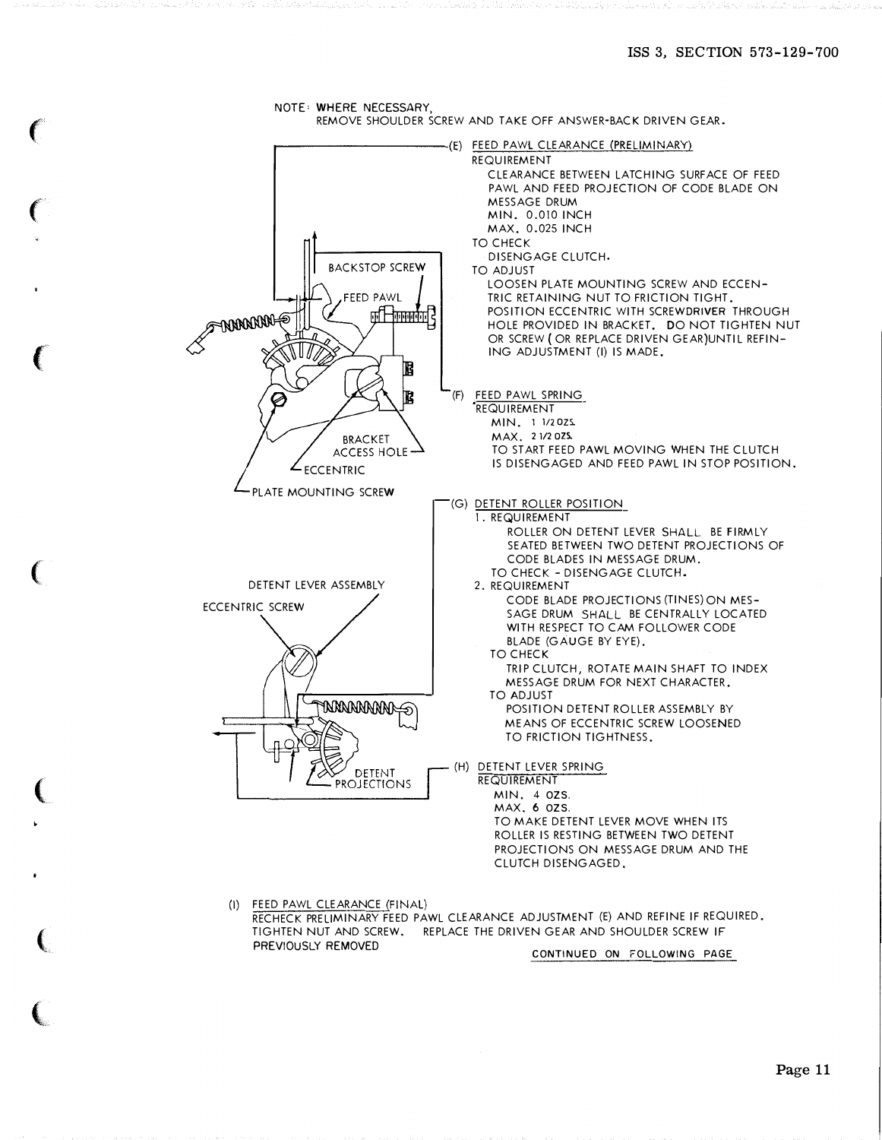

**CONTRACTOR**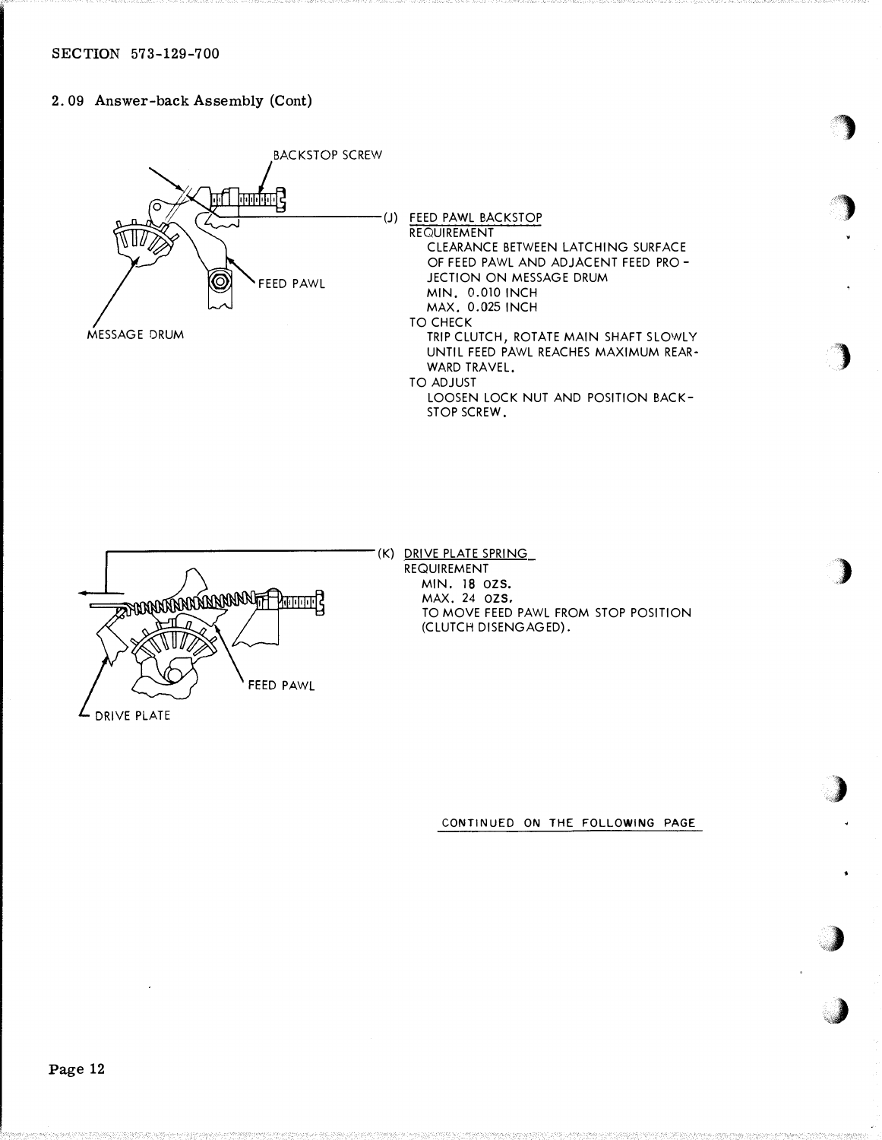# 2. 09 Answer-back Assembly (Cont)





### (K) DRIVE PLATE SPRING REQUIREMENT MIN. 18 OZS. MAX. 24 OZS. TO MOVE FEED PAWL FROM STOP POSITION (CLUTCH DISENGAGED).

**)** 

'}

 $\blacktriangleright$ 

:)

 $\int$ 

�

 $\rightarrow$ 

,,,, .  $\mathcal{I}$ 

CONTINUED ON THE FOLLOWING PAGE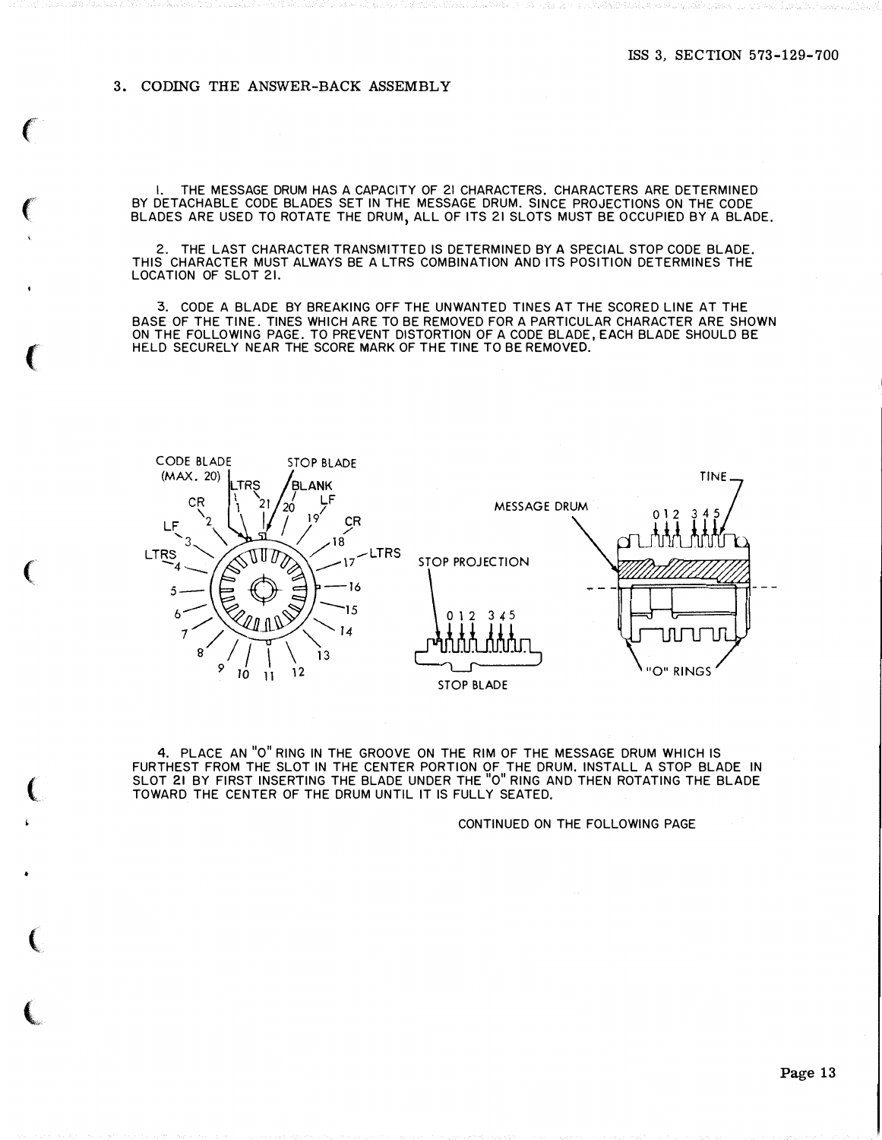# 3. CODING THE ANSWER-BACK ASSEMBLY

and the state of the state of the state of

•

 $\sim$ 

I. THE MESSAGE DRUM HAS A CAPACITY OF 21 CHARACTERS. CHARACTERS ARE DETERMINED BY DETACHABLE CODE BLADES SET IN THE MESSAGE DRUM. SINCE PROJECTIONS ON THE CODE BLADES ARE USED TO ROTATE THE DRUM, ALL OF ITS 21 SLOTS MUST BE OCCUPIED BY A BLADE.

2. THE LAST CHARACTER TRANSMITTED IS DETERMINED BY A SPECIAL STOP CODE BLADE. THIS CHARACTER MUST ALWAYS BE A LTRS COMBINATION AND ITS POSITION DETERMINES THE LOCATION OF SLOT 21.

3. CODE A BLADE BY BREAKING OFF THE UNWANTED TINES AT THE SCORED LINE AT THE BASE OF THE TINE. TINES WHICH ARE TO BE REMOVED FOR A PARTICULAR CHARACTER ARE SHOWN ON THE FOLLOWING PAGE. TO PREVENT DISTORTION OF A CODE BLADE, EACH BLADE SHOULD BE HELD SECURELY NEAR THE SCORE MARK OF THE TINE TO BE REMOVED.



4. PLACE AN "0" RING IN THE GROOVE ON THE RIM OF THE MESSAGE DRUM WHICH IS FURTHEST FROM THE SLOT IN THE CENTER PORTION OF THE DRUM. INSTALL A STOP BLADE IN SLOT 21 BY FIRST INSERTING THE BLADE UNDER THE "0" RING AND THEN ROTATING THE BLADE TOWARD THE CENTER OF THE DRUM UNTIL IT IS FULLY SEATED.

CONTINUED ON THE FOLLOWING PAGE